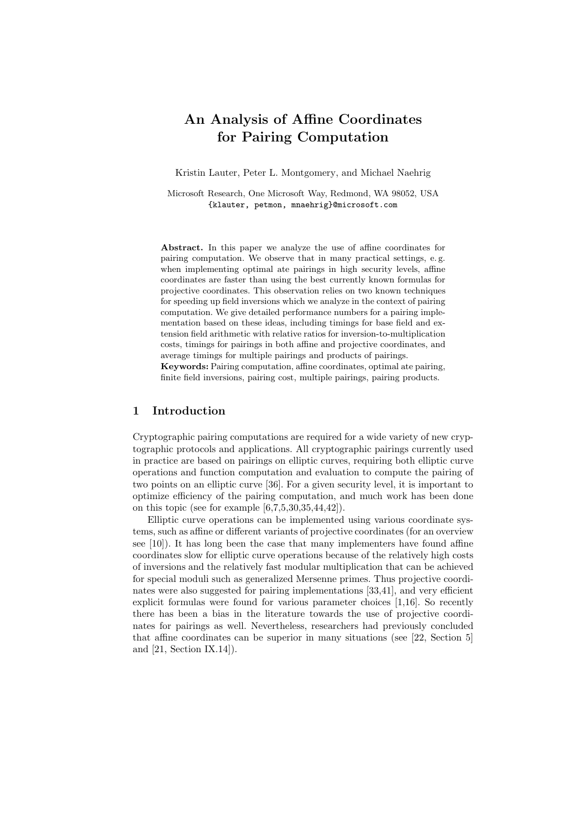# An Analysis of Affine Coordinates for Pairing Computation

Kristin Lauter, Peter L. Montgomery, and Michael Naehrig

Microsoft Research, One Microsoft Way, Redmond, WA 98052, USA {klauter, petmon, mnaehrig}@microsoft.com

Abstract. In this paper we analyze the use of affine coordinates for pairing computation. We observe that in many practical settings, e. g. when implementing optimal ate pairings in high security levels, affine coordinates are faster than using the best currently known formulas for projective coordinates. This observation relies on two known techniques for speeding up field inversions which we analyze in the context of pairing computation. We give detailed performance numbers for a pairing implementation based on these ideas, including timings for base field and extension field arithmetic with relative ratios for inversion-to-multiplication costs, timings for pairings in both affine and projective coordinates, and average timings for multiple pairings and products of pairings.

Keywords: Pairing computation, affine coordinates, optimal ate pairing, finite field inversions, pairing cost, multiple pairings, pairing products.

# 1 Introduction

Cryptographic pairing computations are required for a wide variety of new cryptographic protocols and applications. All cryptographic pairings currently used in practice are based on pairings on elliptic curves, requiring both elliptic curve operations and function computation and evaluation to compute the pairing of two points on an elliptic curve [36]. For a given security level, it is important to optimize efficiency of the pairing computation, and much work has been done on this topic (see for example  $[6,7,5,30,35,44,42]$ ).

Elliptic curve operations can be implemented using various coordinate systems, such as affine or different variants of projective coordinates (for an overview see [10]). It has long been the case that many implementers have found affine coordinates slow for elliptic curve operations because of the relatively high costs of inversions and the relatively fast modular multiplication that can be achieved for special moduli such as generalized Mersenne primes. Thus projective coordinates were also suggested for pairing implementations [33,41], and very efficient explicit formulas were found for various parameter choices [1,16]. So recently there has been a bias in the literature towards the use of projective coordinates for pairings as well. Nevertheless, researchers had previously concluded that affine coordinates can be superior in many situations (see [22, Section 5] and [21, Section IX.14]).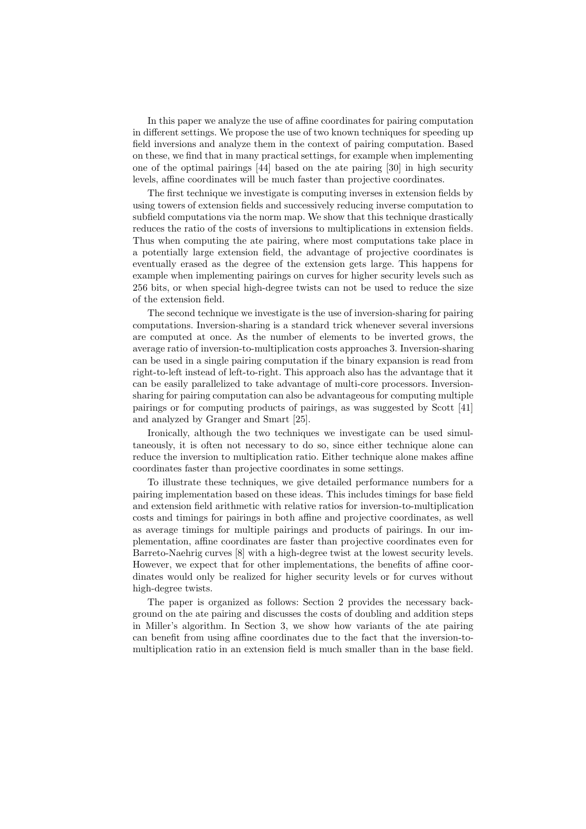In this paper we analyze the use of affine coordinates for pairing computation in different settings. We propose the use of two known techniques for speeding up field inversions and analyze them in the context of pairing computation. Based on these, we find that in many practical settings, for example when implementing one of the optimal pairings [44] based on the ate pairing [30] in high security levels, affine coordinates will be much faster than projective coordinates.

The first technique we investigate is computing inverses in extension fields by using towers of extension fields and successively reducing inverse computation to subfield computations via the norm map. We show that this technique drastically reduces the ratio of the costs of inversions to multiplications in extension fields. Thus when computing the ate pairing, where most computations take place in a potentially large extension field, the advantage of projective coordinates is eventually erased as the degree of the extension gets large. This happens for example when implementing pairings on curves for higher security levels such as 256 bits, or when special high-degree twists can not be used to reduce the size of the extension field.

The second technique we investigate is the use of inversion-sharing for pairing computations. Inversion-sharing is a standard trick whenever several inversions are computed at once. As the number of elements to be inverted grows, the average ratio of inversion-to-multiplication costs approaches 3. Inversion-sharing can be used in a single pairing computation if the binary expansion is read from right-to-left instead of left-to-right. This approach also has the advantage that it can be easily parallelized to take advantage of multi-core processors. Inversionsharing for pairing computation can also be advantageous for computing multiple pairings or for computing products of pairings, as was suggested by Scott [41] and analyzed by Granger and Smart [25].

Ironically, although the two techniques we investigate can be used simultaneously, it is often not necessary to do so, since either technique alone can reduce the inversion to multiplication ratio. Either technique alone makes affine coordinates faster than projective coordinates in some settings.

To illustrate these techniques, we give detailed performance numbers for a pairing implementation based on these ideas. This includes timings for base field and extension field arithmetic with relative ratios for inversion-to-multiplication costs and timings for pairings in both affine and projective coordinates, as well as average timings for multiple pairings and products of pairings. In our implementation, affine coordinates are faster than projective coordinates even for Barreto-Naehrig curves [8] with a high-degree twist at the lowest security levels. However, we expect that for other implementations, the benefits of affine coordinates would only be realized for higher security levels or for curves without high-degree twists.

The paper is organized as follows: Section 2 provides the necessary background on the ate pairing and discusses the costs of doubling and addition steps in Miller's algorithm. In Section 3, we show how variants of the ate pairing can benefit from using affine coordinates due to the fact that the inversion-tomultiplication ratio in an extension field is much smaller than in the base field.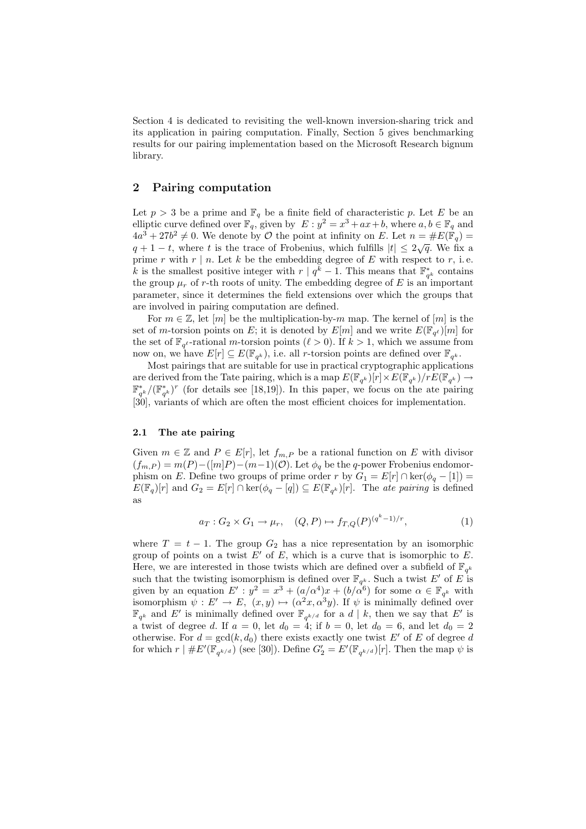Section 4 is dedicated to revisiting the well-known inversion-sharing trick and its application in pairing computation. Finally, Section 5 gives benchmarking results for our pairing implementation based on the Microsoft Research bignum library.

# 2 Pairing computation

Let  $p > 3$  be a prime and  $\mathbb{F}_q$  be a finite field of characteristic p. Let E be an elliptic curve defined over  $\mathbb{F}_q$ , given by  $E: y^2 = x^3 + ax + b$ , where  $a, b \in \mathbb{F}_q$  and  $4a^3 + 27b^2 \neq 0$ . We denote by  $\mathcal O$  the point at infinity on E. Let  $n = \#E(\mathbb{F}_q) =$  $q + 1 - t$ , where t is the trace of Frobenius, which fulfills  $|t| \leq 2\sqrt{q}$ . We fix a prime r with r | n. Let k be the embedding degree of E with respect to r, i.e. k is the smallest positive integer with  $r | q^k - 1$ . This means that  $\mathbb{F}_q^*$  $_{q^k}^*$  contains the group  $\mu_r$  of r-th roots of unity. The embedding degree of E is an important parameter, since it determines the field extensions over which the groups that are involved in pairing computation are defined.

For  $m \in \mathbb{Z}$ , let  $[m]$  be the multiplication-by-m map. The kernel of  $[m]$  is the set of m-torsion points on E; it is denoted by  $E[m]$  and we write  $E(\mathbb{F}_{q^{\ell}})[m]$  for the set of  $\mathbb{F}_{q^{\ell}}$ -rational *m*-torsion points  $(\ell > 0)$ . If  $k > 1$ , which we assume from now on, we have  $E[r] \subseteq E(\mathbb{F}_{q^k})$ , i.e. all r-torsion points are defined over  $\mathbb{F}_{q^k}$ .

Most pairings that are suitable for use in practical cryptographic applications are derived from the Tate pairing, which is a map  $E(\mathbb{F}_{q^k})[r] \times E(\mathbb{F}_{q^k})/rE(\mathbb{F}_{q^k}) \to$ F ∗  $_{q^{k}}^{*}/(\mathbb{F}_{q}^{*})$  $_{q^k}^*$ )<sup>r</sup> (for details see [18,19]). In this paper, we focus on the ate pairing [30], variants of which are often the most efficient choices for implementation.

#### 2.1 The ate pairing

Given  $m \in \mathbb{Z}$  and  $P \in E[r]$ , let  $f_{m,P}$  be a rational function on E with divisor  $(f_{m,P}) = m(P) - ([m]P) - (m-1)(O)$ . Let  $\phi_q$  be the q-power Frobenius endomorphism on E. Define two groups of prime order r by  $G_1 = E[r] \cap \text{ker}(\phi_q - [1]) =$  $E(\mathbb{F}_q)[r]$  and  $G_2 = E[r] \cap \ker(\phi_q - [q]) \subseteq E(\mathbb{F}_{q^k})[r]$ . The ate pairing is defined as

$$
a_T: G_2 \times G_1 \to \mu_r, \quad (Q, P) \mapsto f_{T,Q}(P)^{(q^k - 1)/r}, \tag{1}
$$

where  $T = t - 1$ . The group  $G_2$  has a nice representation by an isomorphic group of points on a twist  $E'$  of  $E$ , which is a curve that is isomorphic to  $E$ . Here, we are interested in those twists which are defined over a subfield of  $\mathbb{F}_{q^k}$ such that the twisting isomorphism is defined over  $\mathbb{F}_{q^k}$ . Such a twist E' of E<sup>'</sup>is given by an equation  $E' : y^2 = x^3 + (a/\alpha^4)x + (b/\alpha^6)$  for some  $\alpha \in \mathbb{F}_{q^k}$  with isomorphism  $\psi : E' \to E$ ,  $(x, y) \mapsto (\alpha^2 x, \alpha^3 y)$ . If  $\psi$  is minimally defined over  $\mathbb{F}_{q^k}$  and E' is minimally defined over  $\mathbb{F}_{q^{k/d}}$  for a  $d \mid k$ , then we say that E' is a twist of degree d. If  $a = 0$ , let  $d_0 = 4$ ; if  $b = 0$ , let  $d_0 = 6$ , and let  $d_0 = 2$ otherwise. For  $d = \gcd(k, d_0)$  there exists exactly one twist E' of E of degree d for which  $r \mid \#E'(\mathbb{F}_{q^{k/d}})$  (see [30]). Define  $G'_2 = E'(\mathbb{F}_{q^{k/d}})[r]$ . Then the map  $\psi$  is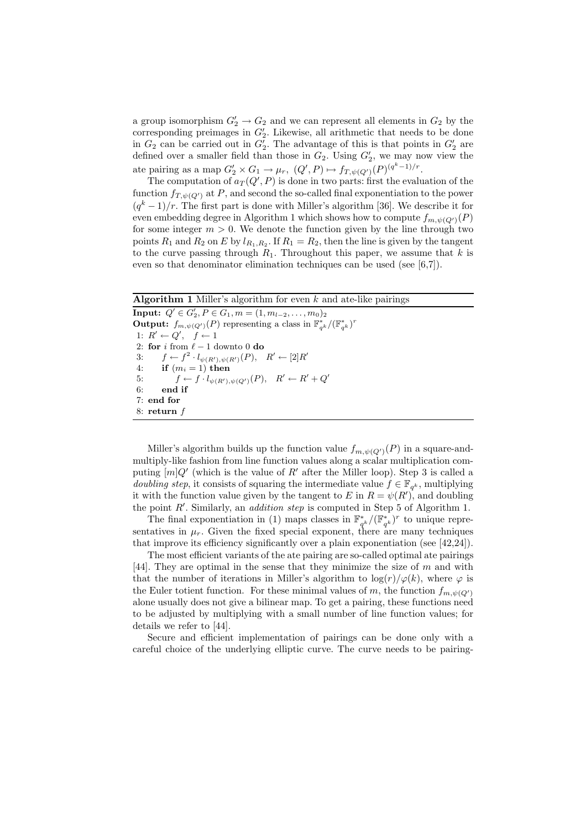a group isomorphism  $G'_2 \to G_2$  and we can represent all elements in  $G_2$  by the corresponding preimages in  $G'_{2}$ . Likewise, all arithmetic that needs to be done in  $G_2$  can be carried out in  $G_2'$ . The advantage of this is that points in  $G_2'$  are defined over a smaller field than those in  $G_2$ . Using  $G'_2$ , we may now view the ate pairing as a map  $G'_2 \times G_1 \to \mu_r$ ,  $(Q', P) \mapsto f_{T, \psi(Q')}(P)^{(q^k-1)/r}$ .

The computation of  $a_T(Q', P)$  is done in two parts: first the evaluation of the function  $f_{T,\psi(Q')}$  at P, and second the so-called final exponentiation to the power  $(q<sup>k</sup> - 1)/r$ . The first part is done with Miller's algorithm [36]. We describe it for even embedding degree in Algorithm 1 which shows how to compute  $f_{m,\psi(Q')}(P)$ for some integer  $m > 0$ . We denote the function given by the line through two points  $R_1$  and  $R_2$  on E by  $l_{R_1,R_2}$ . If  $R_1 = R_2$ , then the line is given by the tangent to the curve passing through  $R_1$ . Throughout this paper, we assume that k is even so that denominator elimination techniques can be used (see [6,7]).

**Algorithm 1** Miller's algorithm for even  $k$  and ate-like pairings

Input:  $Q' \in G'_2, P \in G_1, m = (1, m_{l-2}, \ldots, m_0)_2$ **Output:**  $f_{m,\psi(Q')}(P)$  representing a class in  $\mathbb{F}_{q^k}^*/(\mathbb{F}_{q^k}^*)^r$ 1:  $R' \leftarrow Q', \quad f \leftarrow 1$ 2: for i from  $\ell - 1$  downto 0 do 3:  $f \leftarrow f^2 \cdot l_{\psi(R'),\psi(R')}(P), \quad R' \leftarrow [2]R'$ 4: if  $(m_i = 1)$  then 5:  $f \leftarrow f \cdot l_{\psi(R'),\psi(Q')}(P), \quad R' \leftarrow R' + Q'$ 6: end if 7: end for 8: return  $f$ 

Miller's algorithm builds up the function value  $f_{m,\psi(Q')}(P)$  in a square-andmultiply-like fashion from line function values along a scalar multiplication computing  $[m]Q'$  (which is the value of R' after the Miller loop). Step 3 is called a doubling step, it consists of squaring the intermediate value  $f \in \mathbb{F}_{q^k}$ , multiplying it with the function value given by the tangent to E in  $R = \psi(R')$ , and doubling the point  $R'$ . Similarly, an *addition step* is computed in Step 5 of Algorithm 1.

The final exponentiation in (1) maps classes in  $\mathbb{F}_q^*$  $_{q^{k}}^{*}/(\mathbb{F}_{q}^{*})$  $(\frac{1}{q^k})^r$  to unique representatives in  $\mu_r$ . Given the fixed special exponent, there are many techniques that improve its efficiency significantly over a plain exponentiation (see [42,24]).

The most efficient variants of the ate pairing are so-called optimal ate pairings [44]. They are optimal in the sense that they minimize the size of m and with that the number of iterations in Miller's algorithm to  $\log(r)/\varphi(k)$ , where  $\varphi$  is the Euler totient function. For these minimal values of m, the function  $f_{m,\psi(Q')}$ alone usually does not give a bilinear map. To get a pairing, these functions need to be adjusted by multiplying with a small number of line function values; for details we refer to [44].

Secure and efficient implementation of pairings can be done only with a careful choice of the underlying elliptic curve. The curve needs to be pairing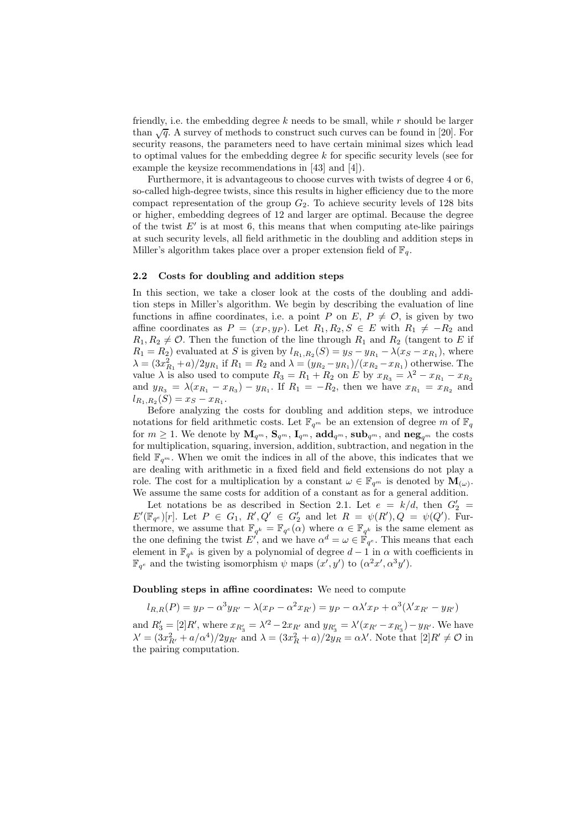friendly, i.e. the embedding degree  $k$  needs to be small, while  $r$  should be larger than  $\sqrt{q}$ . A survey of methods to construct such curves can be found in [20]. For security reasons, the parameters need to have certain minimal sizes which lead to optimal values for the embedding degree  $k$  for specific security levels (see for example the keysize recommendations in [43] and [4]).

Furthermore, it is advantageous to choose curves with twists of degree 4 or 6, so-called high-degree twists, since this results in higher efficiency due to the more compact representation of the group  $G_2$ . To achieve security levels of 128 bits or higher, embedding degrees of 12 and larger are optimal. Because the degree of the twist  $E'$  is at most 6, this means that when computing ate-like pairings at such security levels, all field arithmetic in the doubling and addition steps in Miller's algorithm takes place over a proper extension field of  $\mathbb{F}_q$ .

#### 2.2 Costs for doubling and addition steps

In this section, we take a closer look at the costs of the doubling and addition steps in Miller's algorithm. We begin by describing the evaluation of line functions in affine coordinates, i.e. a point P on E,  $P \neq \mathcal{O}$ , is given by two affine coordinates as  $P = (x_P, y_P)$ . Let  $R_1, R_2, S \in E$  with  $R_1 \neq -R_2$  and  $R_1, R_2 \neq \mathcal{O}$ . Then the function of the line through  $R_1$  and  $R_2$  (tangent to E if  $R_1 = R_2$ ) evaluated at S is given by  $l_{R_1, R_2}(S) = y_S - y_{R_1} - \lambda (x_S - x_{R_1})$ , where  $\lambda = (3x_{R_1}^2 + a)/2y_{R_1}$  if  $R_1 = R_2$  and  $\lambda = (y_{R_2} - y_{R_1})/(x_{R_2} - x_{R_1})$  otherwise. The value  $\lambda$  is also used to compute  $R_3 = R_1 + R_2$  on E by  $x_{R_3} = \lambda^2 - x_{R_1} - x_{R_2}$ and  $y_{R_3} = \lambda (x_{R_1} - x_{R_3}) - y_{R_1}$ . If  $R_1 = -R_2$ , then we have  $x_{R_1} = x_{R_2}$  and  $l_{R_1,R_2}(S) = x_S - x_{R_1}.$ 

Before analyzing the costs for doubling and addition steps, we introduce notations for field arithmetic costs. Let  $\mathbb{F}_{q^m}$  be an extension of degree m of  $\mathbb{F}_q$ for  $m \geq 1$ . We denote by  $\mathbf{M}_{q^m}$ ,  $\mathbf{S}_{q^m}$ ,  $\mathbf{I}_{q^m}$ ,  $\mathbf{add}_{q^m}$ ,  $\mathbf{sub}_{q^m}$ , and  $\mathbf{neg}_{q^m}$  the costs for multiplication, squaring, inversion, addition, subtraction, and negation in the field  $\mathbb{F}_{q^m}$ . When we omit the indices in all of the above, this indicates that we are dealing with arithmetic in a fixed field and field extensions do not play a role. The cost for a multiplication by a constant  $\omega \in \mathbb{F}_{q^m}$  is denoted by  $\mathbf{M}_{(\omega)}$ . We assume the same costs for addition of a constant as for a general addition.

Let notations be as described in Section 2.1. Let  $e = k/d$ , then  $G'_2$  $E'(\mathbb{F}_{q^e})[r]$ . Let  $P \in G_1, R', Q' \in G'_2$  and let  $R = \psi(R'), Q = \psi(Q')$ . Furthermore, we assume that  $\mathbb{F}_{q^k} = \mathbb{F}_{q^e}(\alpha)$  where  $\alpha \in \mathbb{F}_{q^k}$  is the same element as the one defining the twist  $E'$ , and we have  $\alpha^d = \omega \in \mathbb{F}_{q^e}$ . This means that each element in  $\mathbb{F}_{q^k}$  is given by a polynomial of degree  $d-1$  in  $\alpha$  with coefficients in  $\mathbb{F}_{q^e}$  and the twisting isomorphism  $\psi$  maps  $(x', y')$  to  $(\alpha^2 x', \alpha^3 y')$ .

#### Doubling steps in affine coordinates: We need to compute

$$
l_{R,R}(P) = y_P - \alpha^3 y_{R'} - \lambda (x_P - \alpha^2 x_{R'}) = y_P - \alpha \lambda' x_P + \alpha^3 (\lambda' x_{R'} - y_{R'})
$$

and  $R'_3 = [2]R'$ , where  $x_{R'_3} = \lambda'^2 - 2x_{R'}$  and  $y_{R'_3} = \lambda'(x_{R'} - x_{R'_3}) - y_{R'}$ . We have  $\lambda' = (3x_{R'}^2 + a/\alpha^4)/2y_{R'}$  and  $\lambda = (3x_R^2 + a)/2y_R = \alpha\lambda'$ . Note that  $[2]R' \neq \mathcal{O}$  in the pairing computation.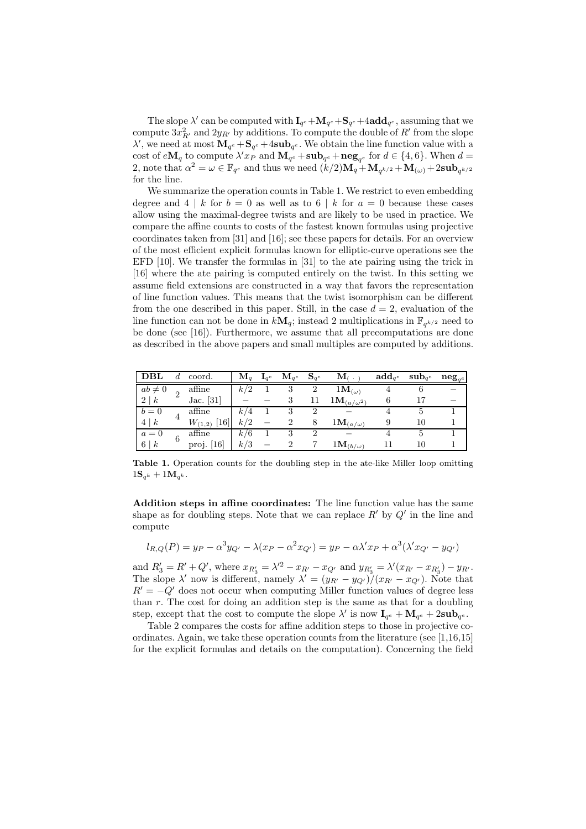The slope  $\lambda'$  can be computed with  $I_{q^e} + M_{q^e} + S_{q^e} + 4 \text{add}_{q^e}$ , assuming that we compute  $3x_{R'}^2$  and  $2y_{R'}$  by additions. To compute the double of R' from the slope  $\lambda'$ , we need at most  $\mathbf{M}_{q^e} + \mathbf{S}_{q^e} + 4\mathbf{sub}_{q^e}$ . We obtain the line function value with a cost of  $e\mathbf{M}_q$  to compute  $\lambda' x_P^{\mathsf{T}}$  and  $\mathbf{M}_{q^e}^{\mathsf{T}} + \mathbf{sub}_{q^e} + \mathbf{neg}_{q^e}$  for  $d \in \{4,6\}$ . When  $d =$ 2, note that  $\alpha^2 = \omega \in \mathbb{F}_{q^e}$  and thus we need  $(k/2)M_q + M_{q^{k/2}} + M_{(\omega)} + 2\text{sub}_{q^{k/2}}$ for the line.

We summarize the operation counts in Table 1. We restrict to even embedding degree and  $4 \mid k$  for  $b = 0$  as well as to  $6 \mid k$  for  $a = 0$  because these cases allow using the maximal-degree twists and are likely to be used in practice. We compare the affine counts to costs of the fastest known formulas using projective coordinates taken from [31] and [16]; see these papers for details. For an overview of the most efficient explicit formulas known for elliptic-curve operations see the EFD [10]. We transfer the formulas in [31] to the ate pairing using the trick in [16] where the ate pairing is computed entirely on the twist. In this setting we assume field extensions are constructed in a way that favors the representation of line function values. This means that the twist isomorphism can be different from the one described in this paper. Still, in the case  $d = 2$ , evaluation of the line function can not be done in  $k\mathbf{M}_q$ ; instead 2 multiplications in  $\mathbb{F}_{q^{k/2}}$  need to be done (see [16]). Furthermore, we assume that all precomputations are done as described in the above papers and small multiples are computed by additions.

| DBL                                   |   | coord.                           | $\mathbf{M}_q \quad \mathbf{I}_q e$ | $\mathbf{M}_{a^e}$ | $S_{a}e$ | $\mathbf{M}_{\ell}$ .                    | $\textbf{add}_{a^e}$ | $\mathbf{sub}_{a^e}$ | $\mathbf{neg}_{q^e}$ |
|---------------------------------------|---|----------------------------------|-------------------------------------|--------------------|----------|------------------------------------------|----------------------|----------------------|----------------------|
| $ab \neq 0$                           | 2 | affine                           | k/2                                 | 3                  |          | $1\mathbf{M}_{(\omega)}$                 |                      |                      |                      |
| $\lceil 2 \rceil$<br>$\boldsymbol{k}$ |   | Jac. [31]                        |                                     | U                  |          | $1\mathbf{M}_{(a/\underline{\omega}^2)}$ |                      |                      |                      |
| $b=0$                                 | 4 | affine                           | k/4                                 | 3                  |          |                                          |                      |                      |                      |
| $4 \nvert k$                          |   | $\left[16\right]$<br>$W_{(1,2)}$ | k/2                                 |                    |          | $1\mathbf{M}_{(a/\omega)}$               |                      |                      |                      |
| $a=0$                                 |   | affine                           | k/6                                 | 3                  | 2        |                                          |                      | 5                    |                      |
| $6 \mid k$                            |   | proj. [16]                       | k/3                                 |                    |          | $1\mathbf{M}_{(b/\omega)}$               |                      |                      |                      |

Table 1. Operation counts for the doubling step in the ate-like Miller loop omitting  $1\mathbf{S}_{q^k} + 1\mathbf{M}_{q^k}$ .

Addition steps in affine coordinates: The line function value has the same shape as for doubling steps. Note that we can replace  $R'$  by  $Q'$  in the line and compute

$$
l_{R,Q}(P) = y_P - \alpha^3 y_{Q'} - \lambda (x_P - \alpha^2 x_{Q'}) = y_P - \alpha \lambda' x_P + \alpha^3 (\lambda' x_{Q'} - y_{Q'})
$$

and  $R'_3 = R' + Q'$ , where  $x_{R'_3} = \lambda'^2 - x_{R'} - x_{Q'}$  and  $y_{R'_3} = \lambda'(x_{R'} - x_{R'_3}) - y_{R'}$ . The slope  $\lambda'$  now is different, namely  $\lambda' = (y_{R'} - y_{Q'})/(x_{R'} - x_{Q'})$ . Note that  $R' = -Q'$  does not occur when computing Miller function values of degree less than  $r$ . The cost for doing an addition step is the same as that for a doubling step, except that the cost to compute the slope  $\lambda'$  is now  $I_{q^e} + M_{q^e} + 2 \textbf{sub}_{q^e}$ .

Table 2 compares the costs for affine addition steps to those in projective coordinates. Again, we take these operation counts from the literature (see [1,16,15] for the explicit formulas and details on the computation). Concerning the field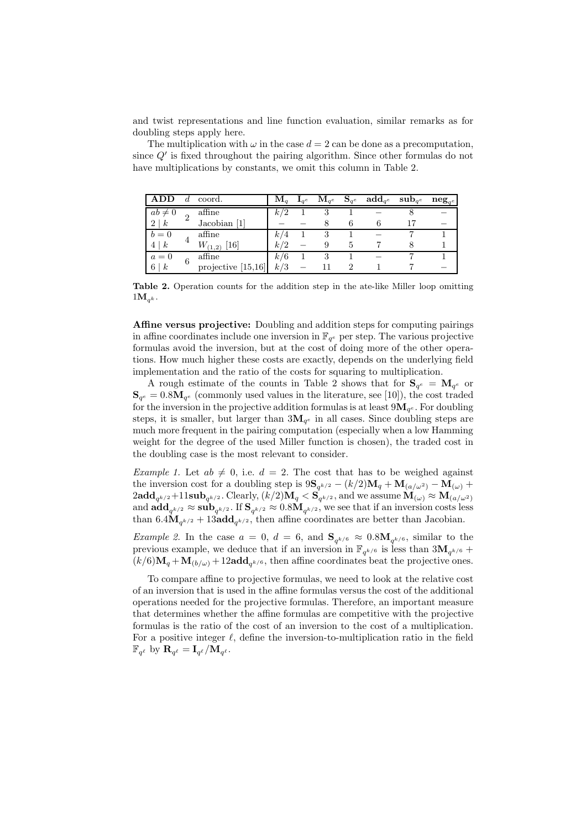and twist representations and line function evaluation, similar remarks as for doubling steps apply here.

The multiplication with  $\omega$  in the case  $d = 2$  can be done as a precomputation, since  $Q'$  is fixed throughout the pairing algorithm. Since other formulas do not have multiplications by constants, we omit this column in Table 2.

| l ADD.      | $\overline{d}$ | coord.               |         |    |   | $\mathbf{M}_q \quad \mathbf{I}_{q^e} \quad \mathbf{M}_{q^e} \quad \mathbf{S}_{q^e} \quad \mathbf{add}_{q^e} \quad \mathbf{sub}_{q^e} \quad \mathbf{neg}_{q^e}$ |  |
|-------------|----------------|----------------------|---------|----|---|----------------------------------------------------------------------------------------------------------------------------------------------------------------|--|
| $ab \neq 0$ |                | affine               | k/2     |    |   |                                                                                                                                                                |  |
| $2 \mid k$  |                | Jacobian [1]         |         |    | 6 |                                                                                                                                                                |  |
| $b=0$       | $\overline{4}$ | affine               | k/4     |    |   |                                                                                                                                                                |  |
| $4 \mid k$  |                | $W_{(1,2)}$ [16]     | k/2     | 9  |   |                                                                                                                                                                |  |
| $a=0$       | 6              | affine               | $k/6$ 1 | 3  |   |                                                                                                                                                                |  |
| $6 \mid k$  |                | projective $[15,16]$ | k/3     | 11 |   |                                                                                                                                                                |  |

Table 2. Operation counts for the addition step in the ate-like Miller loop omitting  $1\mathbf{M}_{ak}$ .

Affine versus projective: Doubling and addition steps for computing pairings in affine coordinates include one inversion in  $\mathbb{F}_{q^e}$  per step. The various projective formulas avoid the inversion, but at the cost of doing more of the other operations. How much higher these costs are exactly, depends on the underlying field implementation and the ratio of the costs for squaring to multiplication.

A rough estimate of the counts in Table 2 shows that for  $S_{q^e} = M_{q^e}$  or  $\mathbf{S}_{q^e} = 0.8 \mathbf{M}_{q^e}$  (commonly used values in the literature, see [10]), the cost traded for the inversion in the projective addition formulas is at least  $9M_{q^e}$ . For doubling steps, it is smaller, but larger than  $3\mathbf{M}_{q^e}$  in all cases. Since doubling steps are much more frequent in the pairing computation (especially when a low Hamming weight for the degree of the used Miller function is chosen), the traded cost in the doubling case is the most relevant to consider.

*Example 1.* Let  $ab \neq 0$ , i.e.  $d = 2$ . The cost that has to be weighed against the inversion cost for a doubling step is  $9S_{q^{k/2}} - (k/2)M_q + M_{(a/\omega^2)} - M_{(\omega)} +$  $2 \text{add}_{q^{k/2}}+11 \text{sub}_{q^{k/2}}$ . Clearly,  $(k/2)M_q < S_{q^{k/2}}$ , and we assume  $M_{(\omega)} \approx M_{(a/\omega^2)}$ and  $\text{add}_{q^{k/2}} \approx \text{sub}_{q^{k/2}}$ . If  $\mathbf{S}_{q^{k/2}} \approx 0.8 \mathbf{M}_{q^{k/2}}$ , we see that if an inversion costs less than  $6.4M_{q^{k/2}} + 13$ add $_{q^{k/2}}$ , then affine coordinates are better than Jacobian.

*Example 2.* In the case  $a = 0, d = 6$ , and  $\mathbf{S}_{q^{k/6}} \approx 0.8 \mathbf{M}_{q^{k/6}}$ , similar to the previous example, we deduce that if an inversion in  $\mathbb{F}_{q^{k/6}}$  is less than  $3\mathbf{M}_{q^{k/6}} +$  $(k/6)M_q + M_{(b/\omega)} + 12 \text{add}_{q^{k/6}}$ , then affine coordinates beat the projective ones.

To compare affine to projective formulas, we need to look at the relative cost of an inversion that is used in the affine formulas versus the cost of the additional operations needed for the projective formulas. Therefore, an important measure that determines whether the affine formulas are competitive with the projective formulas is the ratio of the cost of an inversion to the cost of a multiplication. For a positive integer  $\ell$ , define the inversion-to-multiplication ratio in the field  $\mathbb{F}_{q^{\ell}}$  by  $\mathbf{R}_{q^{\ell}} = \mathbf{I}_{q^{\ell}} / \tilde{\mathbf{M}}_{q^{\ell}}.$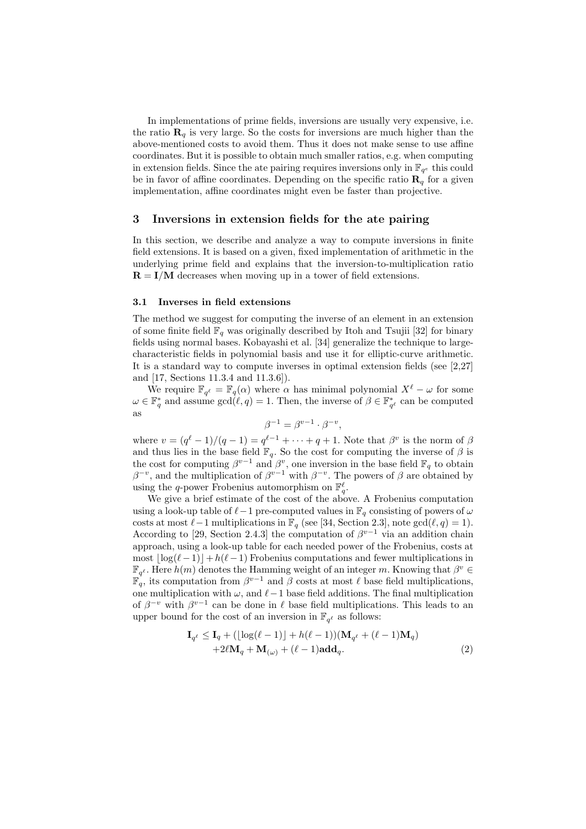In implementations of prime fields, inversions are usually very expensive, i.e. the ratio  $\mathbf{R}_q$  is very large. So the costs for inversions are much higher than the above-mentioned costs to avoid them. Thus it does not make sense to use affine coordinates. But it is possible to obtain much smaller ratios, e.g. when computing in extension fields. Since the ate pairing requires inversions only in  $\mathbb{F}_{q^e}$  this could be in favor of affine coordinates. Depending on the specific ratio  $\mathbf{R}_q$  for a given implementation, affine coordinates might even be faster than projective.

# 3 Inversions in extension fields for the ate pairing

In this section, we describe and analyze a way to compute inversions in finite field extensions. It is based on a given, fixed implementation of arithmetic in the underlying prime field and explains that the inversion-to-multiplication ratio  $R = I/M$  decreases when moving up in a tower of field extensions.

#### 3.1 Inverses in field extensions

The method we suggest for computing the inverse of an element in an extension of some finite field  $\mathbb{F}_q$  was originally described by Itoh and Tsujii [32] for binary fields using normal bases. Kobayashi et al. [34] generalize the technique to largecharacteristic fields in polynomial basis and use it for elliptic-curve arithmetic. It is a standard way to compute inverses in optimal extension fields (see [2,27] and [17, Sections 11.3.4 and 11.3.6]).

We require  $\mathbb{F}_{q^{\ell}} = \mathbb{F}_{q}(\alpha)$  where  $\alpha$  has minimal polynomial  $X^{\ell} - \omega$  for some  $\omega \in \mathbb{F}_q^*$  and assume  $gcd(\ell, q) = 1$ . Then, the inverse of  $\beta \in \mathbb{F}_q^*$  $_{q^{\ell}}^*$  can be computed as

$$
\beta^{-1} = \beta^{v-1} \cdot \beta^{-v},
$$

where  $v = (q^{\ell} - 1)/(q - 1) = q^{\ell-1} + \cdots + q + 1$ . Note that  $\beta^v$  is the norm of  $\beta$ and thus lies in the base field  $\mathbb{F}_q$ . So the cost for computing the inverse of  $\beta$  is the cost for computing  $\beta^{v-1}$  and  $\beta^v$ , one inversion in the base field  $\mathbb{F}_q$  to obtain  $\beta^{-v}$ , and the multiplication of  $\beta^{v-1}$  with  $\beta^{-v}$ . The powers of  $\beta$  are obtained by using the q-power Frobenius automorphism on  $\mathbb{F}_q^{\ell}$ .

We give a brief estimate of the cost of the above. A Frobenius computation using a look-up table of  $\ell-1$  pre-computed values in  $\mathbb{F}_q$  consisting of powers of  $\omega$ costs at most  $\ell-1$  multiplications in  $\mathbb{F}_q$  (see [34, Section 2.3], note gcd $(\ell, q) = 1$ ). According to [29, Section 2.4.3] the computation of  $\beta^{v-1}$  via an addition chain approach, using a look-up table for each needed power of the Frobenius, costs at most  $|\log(\ell-1)| + h(\ell-1)$  Frobenius computations and fewer multiplications in  $\mathbb{F}_{q^{\ell}}$ . Here  $h(m)$  denotes the Hamming weight of an integer m. Knowing that  $\beta^v \in$  $\mathbb{F}_q^4$ , its computation from  $\beta^{v-1}$  and  $\beta$  costs at most  $\ell$  base field multiplications, one multiplication with  $\omega$ , and  $\ell-1$  base field additions. The final multiplication of  $\beta^{-v}$  with  $\beta^{v-1}$  can be done in  $\ell$  base field multiplications. This leads to an upper bound for the cost of an inversion in  $\mathbb{F}_{q^{\ell}}$  as follows:

$$
\mathbf{I}_{q^{\ell}} \leq \mathbf{I}_{q} + (\lfloor \log(\ell - 1) \rfloor + h(\ell - 1))(\mathbf{M}_{q^{\ell}} + (\ell - 1)\mathbf{M}_{q})
$$
  
+2\ell\mathbf{M}\_{q} + \mathbf{M}\_{(\omega)} + (\ell - 1)\mathbf{add}\_{q}. (2)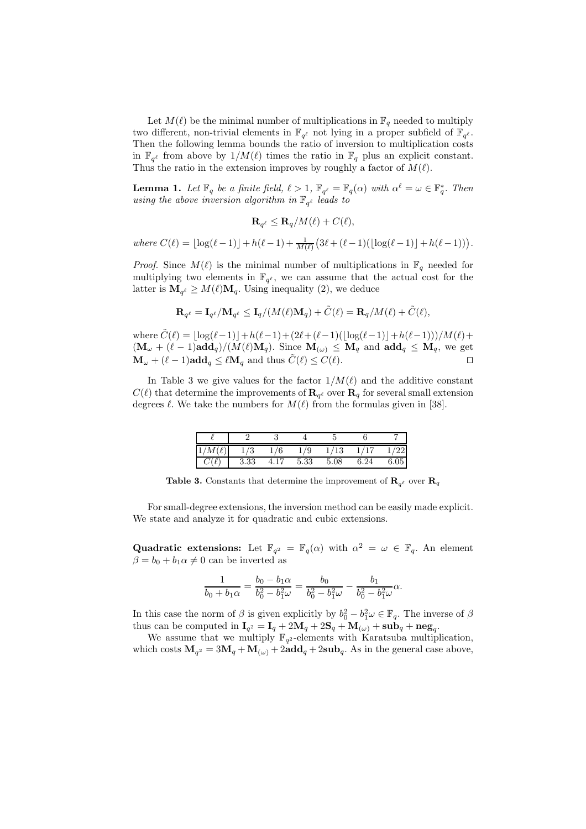Let  $M(\ell)$  be the minimal number of multiplications in  $\mathbb{F}_q$  needed to multiply two different, non-trivial elements in  $\mathbb{F}_{q^{\ell}}$  not lying in a proper subfield of  $\mathbb{F}_{q^{\ell}}$ . Then the following lemma bounds the ratio of inversion to multiplication costs in  $\mathbb{F}_{q^{\ell}}$  from above by  $1/M(\ell)$  times the ratio in  $\mathbb{F}_q$  plus an explicit constant. Thus the ratio in the extension improves by roughly a factor of  $M(\ell)$ .

**Lemma 1.** Let  $\mathbb{F}_q$  be a finite field,  $\ell > 1$ ,  $\mathbb{F}_{q^{\ell}} = \mathbb{F}_q(\alpha)$  with  $\alpha^{\ell} = \omega \in \mathbb{F}_q^*$ . Then using the above inversion algorithm in  $\mathbb{F}_{q^{\ell}}$  leads to

$$
\mathbf{R}_{q^{\ell}} \leq \mathbf{R}_{q}/M(\ell) + C(\ell),
$$

where  $C(\ell) = \lfloor \log(\ell-1) \rfloor + h(\ell-1) + \frac{1}{M(\ell)}(3\ell + (\ell-1)(\lfloor \log(\ell-1) \rfloor + h(\ell-1))).$ 

*Proof.* Since  $M(\ell)$  is the minimal number of multiplications in  $\mathbb{F}_q$  needed for multiplying two elements in  $\mathbb{F}_{q^{\ell}}$ , we can assume that the actual cost for the latter is  $\mathbf{M}_{q^{\ell}} \geq M(\ell) \mathbf{M}_{q}$ . Using inequality (2), we deduce

$$
\mathbf{R}_{q^{\ell}} = \mathbf{I}_{q^{\ell}}/\mathbf{M}_{q^{\ell}} \le \mathbf{I}_{q}/(M(\ell)\mathbf{M}_q) + \tilde{C}(\ell) = \mathbf{R}_{q}/M(\ell) + \tilde{C}(\ell),
$$

where  $\tilde{C}(\ell) = \lfloor \log(\ell-1) \rfloor + h(\ell-1) + (2\ell + (\ell-1)(\lfloor \log(\ell-1) \rfloor + h(\ell-1))) / M(\ell) +$  $(\mathbf{M}_{\omega} + (\ell - 1)\mathbf{add}_q)/(M(\ell)\mathbf{M}_q)$ . Since  $\mathbf{M}_{(\omega)} \leq \mathbf{M}_q$  and  $\mathbf{add}_q \leq \mathbf{M}_q$ , we get  $\mathbf{M}_{+} + (\ell - 1)\mathbf{add}_{-} \leq \ell \mathbf{M}_{-}$  and thus  $\tilde{C}(\ell) \leq C(\ell)$  $\mathbf{M}_{\omega} + (\ell - 1)\mathbf{add}_{q} \leq \ell \mathbf{M}_{q}$  and thus  $\tilde{C}(\ell) \leq C(\ell)$ .

In Table 3 we give values for the factor  $1/M(\ell)$  and the additive constant  $C(\ell)$  that determine the improvements of  $\mathbf{R}_{q^{\ell}}$  over  $\mathbf{R}_{q}$  for several small extension degrees  $\ell$ . We take the numbers for  $M(\ell)$  from the formulas given in [38].

|   | U    | u    | 13   |    |   |
|---|------|------|------|----|---|
| v | 3.33 | 5.33 | 5.08 | 24 | ◡ |

**Table 3.** Constants that determine the improvement of  $\mathbf{R}_{q\ell}$  over  $\mathbf{R}_{q\ell}$ 

For small-degree extensions, the inversion method can be easily made explicit. We state and analyze it for quadratic and cubic extensions.

Quadratic extensions: Let  $\mathbb{F}_{q^2} = \mathbb{F}_q(\alpha)$  with  $\alpha^2 = \omega \in \mathbb{F}_q$ . An element  $\beta = b_0 + b_1 \alpha \neq 0$  can be inverted as

$$
\frac{1}{b_0 + b_1 \alpha} = \frac{b_0 - b_1 \alpha}{b_0^2 - b_1^2 \omega} = \frac{b_0}{b_0^2 - b_1^2 \omega} - \frac{b_1}{b_0^2 - b_1^2 \omega} \alpha.
$$

In this case the norm of  $\beta$  is given explicitly by  $b_0^2 - b_1^2 \omega \in \mathbb{F}_q$ . The inverse of  $\beta$ thus can be computed in  $I_{q^2} = I_q + 2M_q + 2S_q + M_{(\omega)} + \text{sub}_q + \text{neg}_q$ .

We assume that we multiply  $\mathbb{F}_{q^2}$ -elements with Karatsuba multiplication, which costs  $M_{q^2} = 3M_q + M_{(\omega)} + 2 \text{add}_q + 2 \text{sub}_q$ . As in the general case above,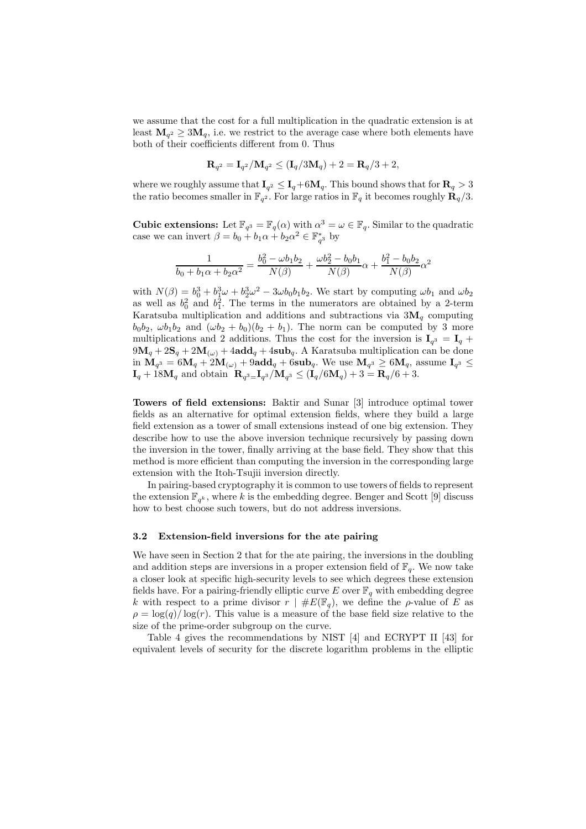we assume that the cost for a full multiplication in the quadratic extension is at least  $M_{q^2} \ge 3M_q$ , i.e. we restrict to the average case where both elements have both of their coefficients different from 0. Thus

$$
\mathbf{R}_{q^2} = \mathbf{I}_{q^2}/\mathbf{M}_{q^2} \leq (\mathbf{I}_q/3\mathbf{M}_q) + 2 = \mathbf{R}_q/3 + 2,
$$

where we roughly assume that  $I_{q^2} \leq I_q+6\mathbf{M}_q$ . This bound shows that for  $\mathbf{R}_q > 3$ the ratio becomes smaller in  $\mathbb{F}_{q^2}$ . For large ratios in  $\mathbb{F}_q$  it becomes roughly  $\mathbf{R}_q/3$ .

**Cubic extensions:** Let  $\mathbb{F}_{q^3} = \mathbb{F}_q(\alpha)$  with  $\alpha^3 = \omega \in \mathbb{F}_q$ . Similar to the quadratic case we can invert  $\beta = b_0 + b_1 \alpha + b_2 \alpha^2 \in \mathbb{F}_q^*$  $_{q^3}^*$  by

$$
\frac{1}{b_0 + b_1 \alpha + b_2 \alpha^2} = \frac{b_0^2 - \omega b_1 b_2}{N(\beta)} + \frac{\omega b_2^2 - b_0 b_1}{N(\beta)} \alpha + \frac{b_1^2 - b_0 b_2}{N(\beta)} \alpha^2
$$

with  $N(\beta) = b_0^3 + b_1^3 \omega + b_2^3 \omega^2 - 3 \omega b_0 b_1 b_2$ . We start by computing  $\omega b_1$  and  $\omega b_2$ as well as  $b_0^2$  and  $b_1^2$ . The terms in the numerators are obtained by a 2-term Karatsuba multiplication and additions and subtractions via  $3M_q$  computing  $b_0b_2$ ,  $\omega b_1b_2$  and  $(\omega b_2 + b_0)(b_2 + b_1)$ . The norm can be computed by 3 more multiplications and 2 additions. Thus the cost for the inversion is  $I_{q^3} = I_q +$  $9M_q + 2S_q + 2M_{(\omega)} + 4add_q + 4sub_q$ . A Karatsuba multiplication can be done  $\lim_{q \to 0} M_{q^3} = 6M_q + 2M_{(\omega)} + 9$  and  $\lim_{q \to 0} \frac{1}{q} + 6$  sub  $\lim_{q \to 0} M_{q^3} \ge 6M_q$ , assume  $I_{q^3} \le$  $\mathbf{I}_q + 18\mathbf{M}_q$  and obtain  $\mathbf{R}_{q^3} = \mathbf{I}_{q^3} / \mathbf{M}_{q^3} \leq (\mathbf{I}_q / 6\mathbf{M}_q) + 3 = \mathbf{R}_q / 6 + 3.$ 

Towers of field extensions: Baktir and Sunar [3] introduce optimal tower fields as an alternative for optimal extension fields, where they build a large field extension as a tower of small extensions instead of one big extension. They describe how to use the above inversion technique recursively by passing down the inversion in the tower, finally arriving at the base field. They show that this method is more efficient than computing the inversion in the corresponding large extension with the Itoh-Tsujii inversion directly.

In pairing-based cryptography it is common to use towers of fields to represent the extension  $\mathbb{F}_{q^k}$ , where k is the embedding degree. Benger and Scott [9] discuss how to best choose such towers, but do not address inversions.

## 3.2 Extension-field inversions for the ate pairing

We have seen in Section 2 that for the ate pairing, the inversions in the doubling and addition steps are inversions in a proper extension field of  $\mathbb{F}_q$ . We now take a closer look at specific high-security levels to see which degrees these extension fields have. For a pairing-friendly elliptic curve  $E$  over  $\mathbb{F}_q$  with embedding degree k with respect to a prime divisor  $r \mid \#E(\mathbb{F}_q)$ , we define the  $\rho$ -value of E as  $\rho = \log(q)/\log(r)$ . This value is a measure of the base field size relative to the size of the prime-order subgroup on the curve.

Table 4 gives the recommendations by NIST [4] and ECRYPT II [43] for equivalent levels of security for the discrete logarithm problems in the elliptic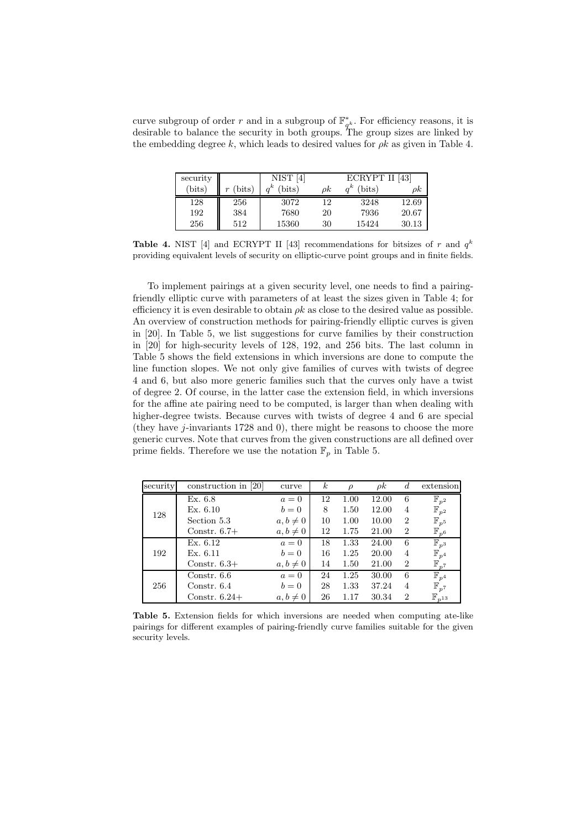curve subgroup of order r and in a subgroup of  $\mathbb{F}_q^*$  $_{q^k}^*$ . For efficiency reasons, it is desirable to balance the security in both groups. The group sizes are linked by the embedding degree k, which leads to desired values for  $\rho k$  as given in Table 4.

| security     |                   | NIST <sup>[4]</sup> |          | ECRYPT II [43] |          |  |  |  |
|--------------|-------------------|---------------------|----------|----------------|----------|--|--|--|
| $\rm (bits)$ | bits <sup>'</sup> | (bits)              | $\alpha$ | (bits)         | $\rho k$ |  |  |  |
| 128          | 256               | 3072                | 12       | 3248           | 12.69    |  |  |  |
| 192          | 384               | 7680                | 20       | 7936           | 20.67    |  |  |  |
| 256          | 512               | 15360               | 30       | 15424          | 30.13    |  |  |  |

Table 4. NIST [4] and ECRYPT II [43] recommendations for bitsizes of r and  $q^k$ providing equivalent levels of security on elliptic-curve point groups and in finite fields.

To implement pairings at a given security level, one needs to find a pairingfriendly elliptic curve with parameters of at least the sizes given in Table 4; for efficiency it is even desirable to obtain  $\rho k$  as close to the desired value as possible. An overview of construction methods for pairing-friendly elliptic curves is given in [20]. In Table 5, we list suggestions for curve families by their construction in [20] for high-security levels of 128, 192, and 256 bits. The last column in Table 5 shows the field extensions in which inversions are done to compute the line function slopes. We not only give families of curves with twists of degree 4 and 6, but also more generic families such that the curves only have a twist of degree 2. Of course, in the latter case the extension field, in which inversions for the affine ate pairing need to be computed, is larger than when dealing with higher-degree twists. Because curves with twists of degree 4 and 6 are special (they have j-invariants 1728 and 0), there might be reasons to choose the more generic curves. Note that curves from the given constructions are all defined over prime fields. Therefore we use the notation  $\mathbb{F}_p$  in Table 5.

| security | construction in [20] | curve         | $\boldsymbol{k}$ |      | $\rho k$ | d              | extension             |
|----------|----------------------|---------------|------------------|------|----------|----------------|-----------------------|
|          | Ex. 6.8              | $a=0$         | 12               | 1.00 | 12.00    | 6              | $\mathbb{F}_{p^2}$    |
| 128      | Ex. 6.10             | $b=0$         | 8                | 1.50 | 12.00    | 4              | $\mathbb{F}_{p^2}$    |
|          | Section 5.3          | $a, b \neq 0$ | 10               | 1.00 | 10.00    | $\overline{2}$ | $\mathbb{F}_{p^5}$    |
|          | Constr. $6.7+$       | $a, b \neq 0$ | 12               | 1.75 | 21.00    | $\overline{2}$ | $\mathbb{F}_{p^6}$    |
|          | Ex. 6.12             | $a=0$         | 18               | 1.33 | 24.00    | 6              | $\mathbb{F}_{p^3}$    |
| 192      | Ex. 6.11             | $b=0$         | 16               | 1.25 | 20.00    | 4              | $\mathbb{F}_{p^4}$    |
|          | Constr. $6.3+$       | $a, b \neq 0$ | 14               | 1.50 | 21.00    | $\overline{2}$ | $\mathbb{F}_{p^7}$    |
| 256      | Constr. $6.6$        | $a=0$         | 24               | 1.25 | 30.00    | 6              | $\mathbb{F}_{p^4}$    |
|          | Constr. $6.4$        | $b=0$         | 28               | 1.33 | 37.24    | 4              | $\mathbb{F}_{p^7}$    |
|          | Constr. $6.24+$      | $a, b \neq 0$ | 26               | 1.17 | 30.34    | $\overline{2}$ | $\mathbb{F}_{p^{13}}$ |

Table 5. Extension fields for which inversions are needed when computing ate-like pairings for different examples of pairing-friendly curve families suitable for the given security levels.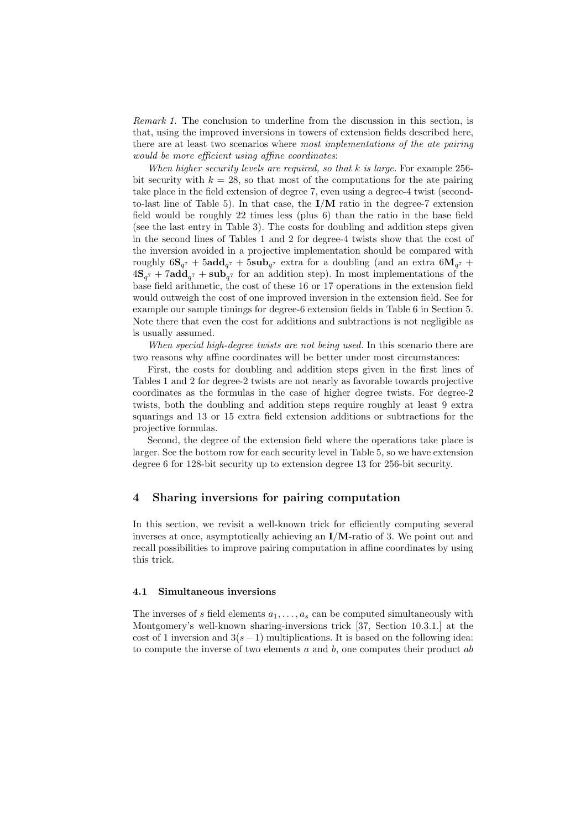Remark 1. The conclusion to underline from the discussion in this section, is that, using the improved inversions in towers of extension fields described here, there are at least two scenarios where most implementations of the ate pairing would be more efficient using affine coordinates:

When higher security levels are required, so that  $k$  is large. For example 256bit security with  $k = 28$ , so that most of the computations for the ate pairing take place in the field extension of degree 7, even using a degree-4 twist (secondto-last line of Table 5). In that case, the  $I/M$  ratio in the degree-7 extension field would be roughly 22 times less (plus 6) than the ratio in the base field (see the last entry in Table 3). The costs for doubling and addition steps given in the second lines of Tables 1 and 2 for degree-4 twists show that the cost of the inversion avoided in a projective implementation should be compared with roughly  $6\mathbf{S}_{q^7} + 5\mathbf{add}_{q^7} + 5\mathbf{sub}_{q^7}$  extra for a doubling (and an extra  $6\mathbf{M}_{q^7} +$  $4S_{q^7} + 7 \text{add}_{q^7} + \text{sub}_{q^7}$  for an addition step). In most implementations of the base field arithmetic, the cost of these 16 or 17 operations in the extension field would outweigh the cost of one improved inversion in the extension field. See for example our sample timings for degree-6 extension fields in Table 6 in Section 5. Note there that even the cost for additions and subtractions is not negligible as is usually assumed.

When special high-degree twists are not being used. In this scenario there are two reasons why affine coordinates will be better under most circumstances:

First, the costs for doubling and addition steps given in the first lines of Tables 1 and 2 for degree-2 twists are not nearly as favorable towards projective coordinates as the formulas in the case of higher degree twists. For degree-2 twists, both the doubling and addition steps require roughly at least 9 extra squarings and 13 or 15 extra field extension additions or subtractions for the projective formulas.

Second, the degree of the extension field where the operations take place is larger. See the bottom row for each security level in Table 5, so we have extension degree 6 for 128-bit security up to extension degree 13 for 256-bit security.

# 4 Sharing inversions for pairing computation

In this section, we revisit a well-known trick for efficiently computing several inverses at once, asymptotically achieving an I/M-ratio of 3. We point out and recall possibilities to improve pairing computation in affine coordinates by using this trick.

## 4.1 Simultaneous inversions

The inverses of s field elements  $a_1, \ldots, a_s$  can be computed simultaneously with Montgomery's well-known sharing-inversions trick [37, Section 10.3.1.] at the cost of 1 inversion and  $3(s-1)$  multiplications. It is based on the following idea: to compute the inverse of two elements  $a$  and  $b$ , one computes their product  $ab$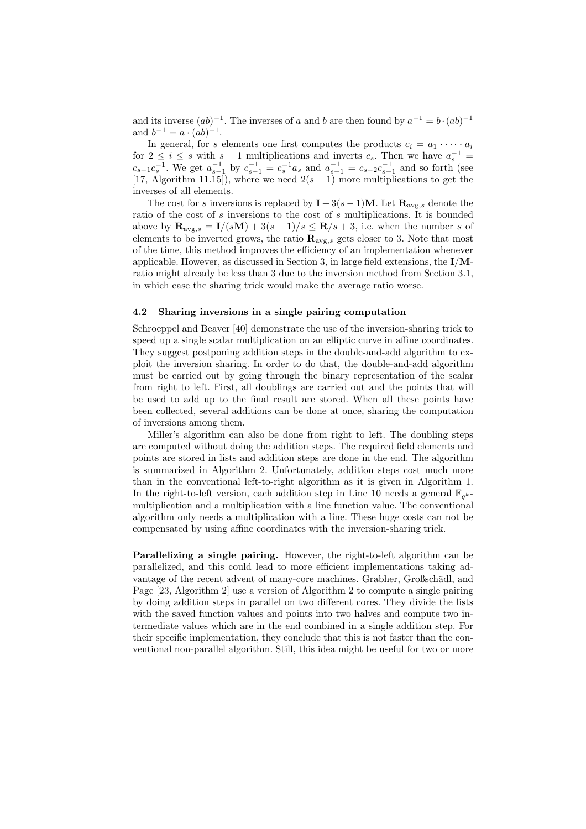and its inverse  $(ab)^{-1}$ . The inverses of a and b are then found by  $a^{-1} = b \cdot (ab)^{-1}$ and  $b^{-1} = a \cdot (ab)^{-1}$ .

In general, for s elements one first computes the products  $c_i = a_1 \cdot \cdots \cdot a_i$ for  $2 \leq i \leq s$  with  $s-1$  multiplications and inverts  $c_s$ . Then we have  $a_s^{-1} =$  $c_{s-1}c_s^{-1}$ . We get  $a_{s-1}^{-1}$  by  $c_{s-1}^{-1} = c_s^{-1}a_s$  and  $a_{s-1}^{-1} = c_{s-2}c_{s-1}^{-1}$  and so forth (see [17, Algorithm 11.15]), where we need  $2(s-1)$  more multiplications to get the inverses of all elements.

The cost for s inversions is replaced by  $I + 3(s - 1)M$ . Let  $\mathbf{R}_{\text{avg},s}$  denote the ratio of the cost of s inversions to the cost of s multiplications. It is bounded above by  $\mathbf{R}_{\text{avg},s} = \mathbf{I}/(s\mathbf{M}) + 3(s-1)/s \leq \mathbf{R}/s + 3$ , i.e. when the number s of elements to be inverted grows, the ratio  $\mathbf{R}_{\text{avg},s}$  gets closer to 3. Note that most of the time, this method improves the efficiency of an implementation whenever applicable. However, as discussed in Section 3, in large field extensions, the  $I/M$ ratio might already be less than 3 due to the inversion method from Section 3.1, in which case the sharing trick would make the average ratio worse.

## 4.2 Sharing inversions in a single pairing computation

Schroeppel and Beaver [40] demonstrate the use of the inversion-sharing trick to speed up a single scalar multiplication on an elliptic curve in affine coordinates. They suggest postponing addition steps in the double-and-add algorithm to exploit the inversion sharing. In order to do that, the double-and-add algorithm must be carried out by going through the binary representation of the scalar from right to left. First, all doublings are carried out and the points that will be used to add up to the final result are stored. When all these points have been collected, several additions can be done at once, sharing the computation of inversions among them.

Miller's algorithm can also be done from right to left. The doubling steps are computed without doing the addition steps. The required field elements and points are stored in lists and addition steps are done in the end. The algorithm is summarized in Algorithm 2. Unfortunately, addition steps cost much more than in the conventional left-to-right algorithm as it is given in Algorithm 1. In the right-to-left version, each addition step in Line 10 needs a general  $\mathbb{F}_{q^k}$ multiplication and a multiplication with a line function value. The conventional algorithm only needs a multiplication with a line. These huge costs can not be compensated by using affine coordinates with the inversion-sharing trick.

Parallelizing a single pairing. However, the right-to-left algorithm can be parallelized, and this could lead to more efficient implementations taking advantage of the recent advent of many-core machines. Grabher, Großschädl, and Page [23, Algorithm 2] use a version of Algorithm 2 to compute a single pairing by doing addition steps in parallel on two different cores. They divide the lists with the saved function values and points into two halves and compute two intermediate values which are in the end combined in a single addition step. For their specific implementation, they conclude that this is not faster than the conventional non-parallel algorithm. Still, this idea might be useful for two or more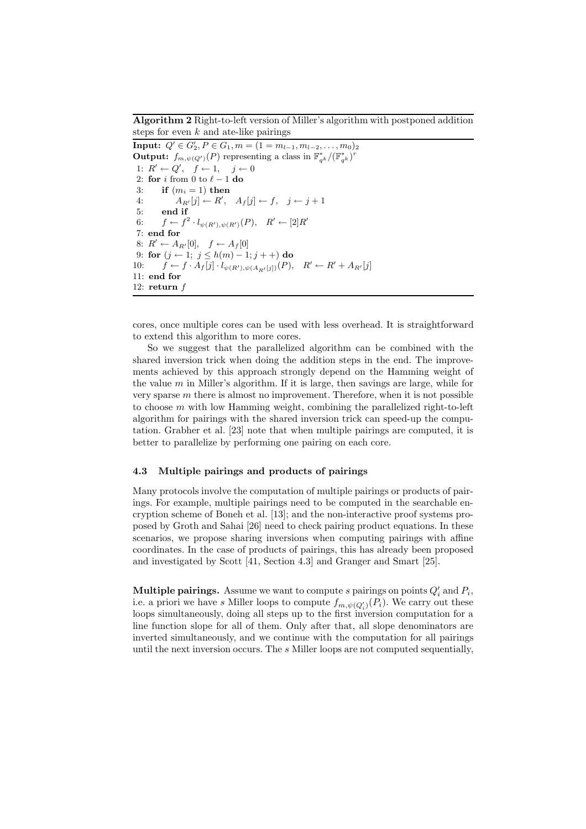Algorithm 2 Right-to-left version of Miller's algorithm with postponed addition steps for even  $k$  and ate-like pairings

Input:  $Q' \in G'_2, P \in G_1, m = (1 = m_{l-1}, m_{l-2}, \ldots, m_0)_2$ **Output:**  $f_{m,\psi(Q')}(P)$  representing a class in  $\mathbb{F}_{q^k}^*/(\mathbb{F}_{q^k}^*)^r$ 1:  $R' \leftarrow Q', \quad f \leftarrow 1, \quad j \leftarrow 0$ 2: for i from 0 to  $\ell - 1$  do 3: if  $(m_i = 1)$  then 4:  $A_{R'}[j] \leftarrow R', A_f[j] \leftarrow f, j \leftarrow j+1$ 5: end if 6:  $f \leftarrow f^2 \cdot l_{\psi(R'),\psi(R')}(P), \quad R' \leftarrow [2]R'$ 7: end for 8:  $R' \leftarrow A_{R'}[0], \quad f \leftarrow A_f[0]$ 9: for  $(j \leftarrow 1; j \leq h(m) - 1; j + +)$  do 10:  $\ddot{f} \leftarrow f \cdot A_f[j] \cdot l_{\psi(R'),\psi(A_{R'}[j])}(P), \quad R' \leftarrow R' + A_{R'}[j]$ 11: end for 12: return f

cores, once multiple cores can be used with less overhead. It is straightforward to extend this algorithm to more cores.

So we suggest that the parallelized algorithm can be combined with the shared inversion trick when doing the addition steps in the end. The improvements achieved by this approach strongly depend on the Hamming weight of the value  $m$  in Miller's algorithm. If it is large, then savings are large, while for very sparse  $m$  there is almost no improvement. Therefore, when it is not possible to choose  $m$  with low Hamming weight, combining the parallelized right-to-left algorithm for pairings with the shared inversion trick can speed-up the computation. Grabher et al. [23] note that when multiple pairings are computed, it is better to parallelize by performing one pairing on each core.

## 4.3 Multiple pairings and products of pairings

Many protocols involve the computation of multiple pairings or products of pairings. For example, multiple pairings need to be computed in the searchable encryption scheme of Boneh et al. [13]; and the non-interactive proof systems proposed by Groth and Sahai [26] need to check pairing product equations. In these scenarios, we propose sharing inversions when computing pairings with affine coordinates. In the case of products of pairings, this has already been proposed and investigated by Scott [41, Section 4.3] and Granger and Smart [25].

**Multiple pairings.** Assume we want to compute s pairings on points  $Q'_i$  and  $P_i$ , i.e. a priori we have s Miller loops to compute  $f_{m,\psi(Q'_i)}(P_i)$ . We carry out these loops simultaneously, doing all steps up to the first inversion computation for a line function slope for all of them. Only after that, all slope denominators are inverted simultaneously, and we continue with the computation for all pairings until the next inversion occurs. The s Miller loops are not computed sequentially,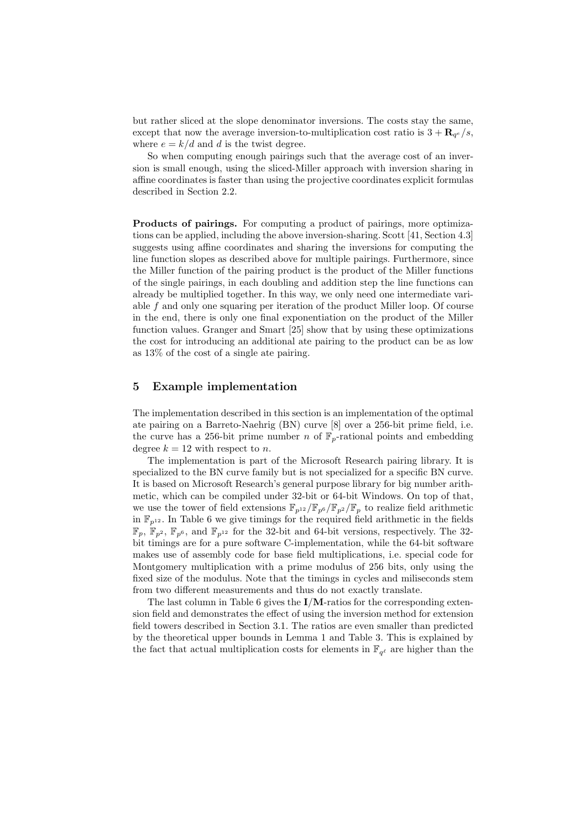but rather sliced at the slope denominator inversions. The costs stay the same, except that now the average inversion-to-multiplication cost ratio is  $3 + \mathbf{R}_{q^e}/s$ , where  $e = k/d$  and d is the twist degree.

So when computing enough pairings such that the average cost of an inversion is small enough, using the sliced-Miller approach with inversion sharing in affine coordinates is faster than using the projective coordinates explicit formulas described in Section 2.2.

Products of pairings. For computing a product of pairings, more optimizations can be applied, including the above inversion-sharing. Scott [41, Section 4.3] suggests using affine coordinates and sharing the inversions for computing the line function slopes as described above for multiple pairings. Furthermore, since the Miller function of the pairing product is the product of the Miller functions of the single pairings, in each doubling and addition step the line functions can already be multiplied together. In this way, we only need one intermediate variable  $f$  and only one squaring per iteration of the product Miller loop. Of course in the end, there is only one final exponentiation on the product of the Miller function values. Granger and Smart [25] show that by using these optimizations the cost for introducing an additional ate pairing to the product can be as low as 13% of the cost of a single ate pairing.

# 5 Example implementation

The implementation described in this section is an implementation of the optimal ate pairing on a Barreto-Naehrig (BN) curve [8] over a 256-bit prime field, i.e. the curve has a 256-bit prime number n of  $\mathbb{F}_p$ -rational points and embedding degree  $k = 12$  with respect to n.

The implementation is part of the Microsoft Research pairing library. It is specialized to the BN curve family but is not specialized for a specific BN curve. It is based on Microsoft Research's general purpose library for big number arithmetic, which can be compiled under 32-bit or 64-bit Windows. On top of that, we use the tower of field extensions  $\mathbb{F}_{p^{12}} / \mathbb{F}_{p^6} / \mathbb{F}_{p^2} / \mathbb{F}_p$  to realize field arithmetic in  $\mathbb{F}_{p^{12}}$ . In Table 6 we give timings for the required field arithmetic in the fields  $\mathbb{F}_p$ ,  $\mathbb{F}_{p^2}$ ,  $\mathbb{F}_{p^6}$ , and  $\mathbb{F}_{p^{12}}$  for the 32-bit and 64-bit versions, respectively. The 32bit timings are for a pure software C-implementation, while the 64-bit software makes use of assembly code for base field multiplications, i.e. special code for Montgomery multiplication with a prime modulus of 256 bits, only using the fixed size of the modulus. Note that the timings in cycles and miliseconds stem from two different measurements and thus do not exactly translate.

The last column in Table 6 gives the  $I/M$ -ratios for the corresponding extension field and demonstrates the effect of using the inversion method for extension field towers described in Section 3.1. The ratios are even smaller than predicted by the theoretical upper bounds in Lemma 1 and Table 3. This is explained by the fact that actual multiplication costs for elements in  $\mathbb{F}_{q^{\ell}}$  are higher than the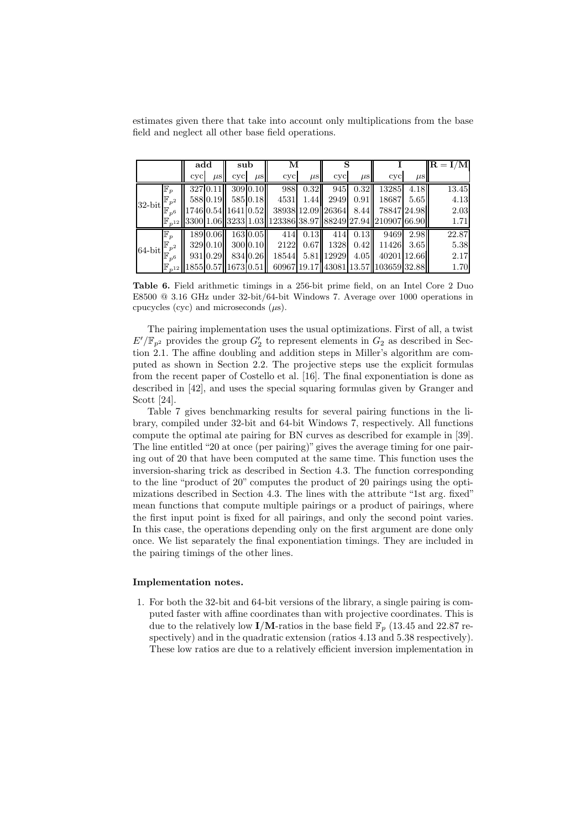estimates given there that take into account only multiplications from the base field and neglect all other base field operations.

|           |                       | add |          | sub                 |          | м                                                             |         |                   |         |                                        |             | $\mathbf{R} = \mathbf{I}/\mathbf{M}$ |
|-----------|-----------------------|-----|----------|---------------------|----------|---------------------------------------------------------------|---------|-------------------|---------|----------------------------------------|-------------|--------------------------------------|
|           |                       | cyc | $\mu$ s  | cyc                 | $\mu$ s  | cyc                                                           | $\mu$ s | cyc               | $\mu$ s | cyc                                    | $\mu$ s     |                                      |
|           | $\mathbb{F}_p$        |     | 327 0.11 |                     | 309 0.10 | 988                                                           | 0.32    | 945               | 0.32    | 13285                                  | 4.18        | 13.45                                |
| $32$ -bit | $\mathbb{F}_{p^2}$    |     | 5880.19  |                     | 585 0.18 | 4531                                                          | 1.44    | 2949              | 0.91    | 18687                                  | 5.65        | 4.13                                 |
|           |                       |     |          | 1746 0.54 1641 0.52 |          |                                                               |         | 38938 12.09 26364 | 8.44    |                                        | 78847 24.98 | 2.03                                 |
|           | $\mathbb{F}_{n^{12}}$ |     |          |                     |          | 3300 1.06  3233 1.03  123386 38.97  88249 27.94  210907 66.90 |         |                   |         |                                        |             | 1.71                                 |
|           | $\mathbb{F}_p$        |     | 189 0.06 |                     | 163 0.05 | 414                                                           | 0.13    | 414               | 0.13    | 9469                                   | 2.98        | 22.87                                |
| 64-bit    | $\mathbb{F}_{p^2}$    |     | 329 0.10 |                     | 300 0.10 | 2122                                                          | 0.67    | 1328              | 0.42    | 11426                                  | 3.65        | 5.38                                 |
|           | $\mathbb{F}_{p^6}$    |     | 931 0.29 |                     | 834 0.26 | 18544                                                         |         | 5.81 12929        | 4.05    |                                        | 40201 12.66 | 2.17                                 |
|           | $\mathbb{F}_{n^{12}}$ |     |          | 1855 0.57 1673 0.51 |          |                                                               |         |                   |         | 60967 19.17  43081 13.57  103659 32.88 |             | 1.70                                 |

Table 6. Field arithmetic timings in a 256-bit prime field, on an Intel Core 2 Duo E8500 @ 3.16 GHz under 32-bit/64-bit Windows 7. Average over 1000 operations in cpucycles (cyc) and microseconds  $(\mu s)$ .

The pairing implementation uses the usual optimizations. First of all, a twist  $E'/\mathbb{F}_{p^2}$  provides the group  $G'_2$  to represent elements in  $G_2$  as described in Section 2.1. The affine doubling and addition steps in Miller's algorithm are computed as shown in Section 2.2. The projective steps use the explicit formulas from the recent paper of Costello et al. [16]. The final exponentiation is done as described in [42], and uses the special squaring formulas given by Granger and Scott [24].

Table 7 gives benchmarking results for several pairing functions in the library, compiled under 32-bit and 64-bit Windows 7, respectively. All functions compute the optimal ate pairing for BN curves as described for example in [39]. The line entitled "20 at once (per pairing)" gives the average timing for one pairing out of 20 that have been computed at the same time. This function uses the inversion-sharing trick as described in Section 4.3. The function corresponding to the line "product of 20" computes the product of 20 pairings using the optimizations described in Section 4.3. The lines with the attribute "1st arg. fixed" mean functions that compute multiple pairings or a product of pairings, where the first input point is fixed for all pairings, and only the second point varies. In this case, the operations depending only on the first argument are done only once. We list separately the final exponentiation timings. They are included in the pairing timings of the other lines.

## Implementation notes.

1. For both the 32-bit and 64-bit versions of the library, a single pairing is computed faster with affine coordinates than with projective coordinates. This is due to the relatively low I/M-ratios in the base field  $\mathbb{F}_p$  (13.45 and 22.87 respectively) and in the quadratic extension (ratios 4.13 and 5.38 respectively). These low ratios are due to a relatively efficient inversion implementation in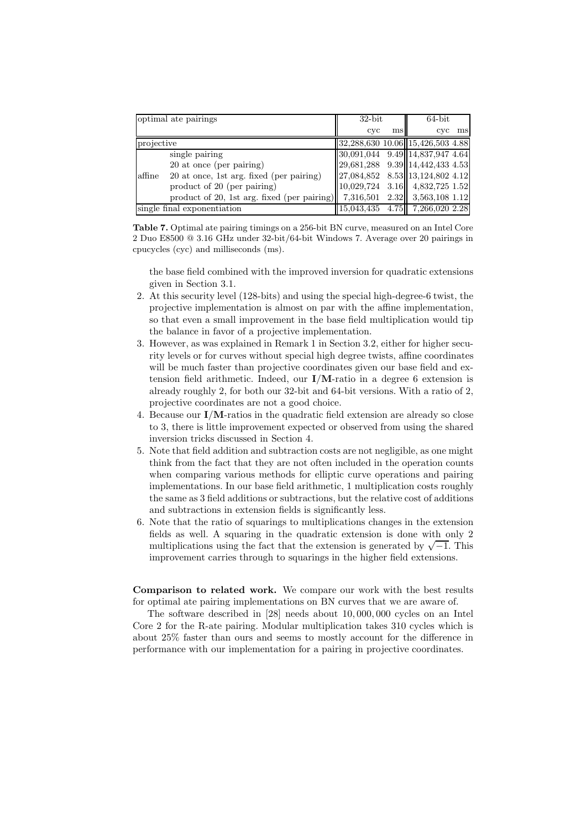|            | optimal ate pairings                        | $32$ -bit    |    | 64-bit                                                                                            |    |  |
|------------|---------------------------------------------|--------------|----|---------------------------------------------------------------------------------------------------|----|--|
|            |                                             | $_{\rm cyc}$ | ms | $_{\rm cyc}$                                                                                      | ms |  |
| projective |                                             |              |    | $32,288,630$ 10.06 15,426,503 4.88                                                                |    |  |
|            | single pairing                              |              |    | $30,091,044$ 9.49 14,837,947 4.64                                                                 |    |  |
|            | 20 at once (per pairing)                    |              |    | $  29,681,288$ 9.39 $  14,442,433$ 4.53                                                           |    |  |
| affine     | 20 at once, 1st arg. fixed (per pairing)    |              |    | $\left  \begin{matrix} 27,084,852 & 8.53 \end{matrix} \right  13,124,802 \; 4.12 \right $         |    |  |
|            | product of 20 (per pairing)                 |              |    | $\ 10,029,724 \quad 3.16\  \quad 4,832,725 \quad 1.52\ $                                          |    |  |
|            | product of 20, 1st arg. fixed (per pairing) | 7,316,501    |    | 2.32 3,563,108 1.12                                                                               |    |  |
|            | single final exponentiation                 |              |    | $\begin{array}{ c c c c c c c c } \hline 15,043,435 & 4.75 & 7,266,020 & 2.28 \hline \end{array}$ |    |  |

Table 7. Optimal ate pairing timings on a 256-bit BN curve, measured on an Intel Core 2 Duo E8500 @ 3.16 GHz under 32-bit/64-bit Windows 7. Average over 20 pairings in cpucycles (cyc) and milliseconds (ms).

the base field combined with the improved inversion for quadratic extensions given in Section 3.1.

- 2. At this security level (128-bits) and using the special high-degree-6 twist, the projective implementation is almost on par with the affine implementation, so that even a small improvement in the base field multiplication would tip the balance in favor of a projective implementation.
- 3. However, as was explained in Remark 1 in Section 3.2, either for higher security levels or for curves without special high degree twists, affine coordinates will be much faster than projective coordinates given our base field and extension field arithmetic. Indeed, our I/M-ratio in a degree 6 extension is already roughly 2, for both our 32-bit and 64-bit versions. With a ratio of 2, projective coordinates are not a good choice.
- 4. Because our I/M-ratios in the quadratic field extension are already so close to 3, there is little improvement expected or observed from using the shared inversion tricks discussed in Section 4.
- 5. Note that field addition and subtraction costs are not negligible, as one might think from the fact that they are not often included in the operation counts when comparing various methods for elliptic curve operations and pairing implementations. In our base field arithmetic, 1 multiplication costs roughly the same as 3 field additions or subtractions, but the relative cost of additions and subtractions in extension fields is significantly less.
- 6. Note that the ratio of squarings to multiplications changes in the extension fields as well. A squaring in the quadratic extension is done with only 2 multiplications using the fact that the extension is generated by  $\sqrt{-1}$ . This improvement carries through to squarings in the higher field extensions.

Comparison to related work. We compare our work with the best results for optimal ate pairing implementations on BN curves that we are aware of.

The software described in [28] needs about 10, 000, 000 cycles on an Intel Core 2 for the R-ate pairing. Modular multiplication takes 310 cycles which is about 25% faster than ours and seems to mostly account for the difference in performance with our implementation for a pairing in projective coordinates.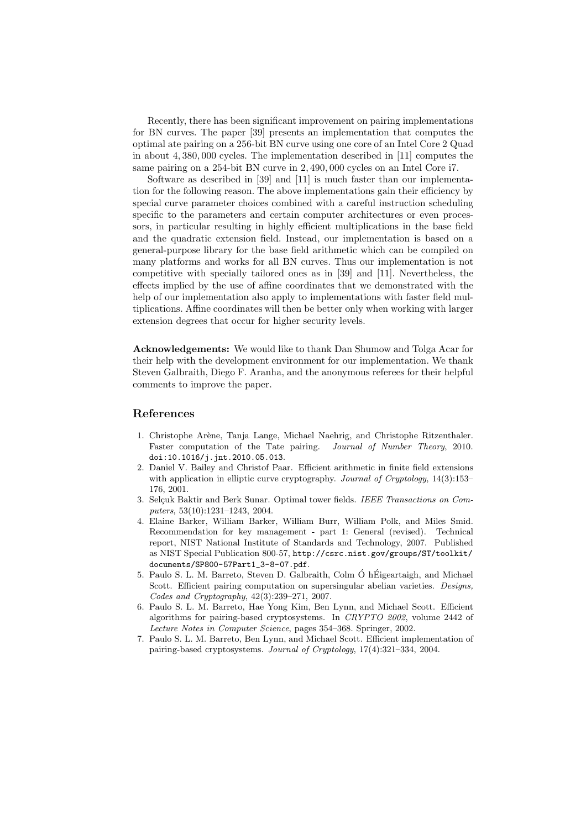Recently, there has been significant improvement on pairing implementations for BN curves. The paper [39] presents an implementation that computes the optimal ate pairing on a 256-bit BN curve using one core of an Intel Core 2 Quad in about 4, 380, 000 cycles. The implementation described in [11] computes the same pairing on a 254-bit BN curve in 2, 490, 000 cycles on an Intel Core i7.

Software as described in [39] and [11] is much faster than our implementation for the following reason. The above implementations gain their efficiency by special curve parameter choices combined with a careful instruction scheduling specific to the parameters and certain computer architectures or even processors, in particular resulting in highly efficient multiplications in the base field and the quadratic extension field. Instead, our implementation is based on a general-purpose library for the base field arithmetic which can be compiled on many platforms and works for all BN curves. Thus our implementation is not competitive with specially tailored ones as in [39] and [11]. Nevertheless, the effects implied by the use of affine coordinates that we demonstrated with the help of our implementation also apply to implementations with faster field multiplications. Affine coordinates will then be better only when working with larger extension degrees that occur for higher security levels.

Acknowledgements: We would like to thank Dan Shumow and Tolga Acar for their help with the development environment for our implementation. We thank Steven Galbraith, Diego F. Aranha, and the anonymous referees for their helpful comments to improve the paper.

# References

- 1. Christophe Arène, Tanja Lange, Michael Naehrig, and Christophe Ritzenthaler. Faster computation of the Tate pairing. Journal of Number Theory, 2010. doi:10.1016/j.jnt.2010.05.013.
- 2. Daniel V. Bailey and Christof Paar. Efficient arithmetic in finite field extensions with application in elliptic curve cryptography. Journal of Cryptology, 14(3):153– 176, 2001.
- 3. Selçuk Baktir and Berk Sunar. Optimal tower fields. IEEE Transactions on Computers, 53(10):1231–1243, 2004.
- 4. Elaine Barker, William Barker, William Burr, William Polk, and Miles Smid. Recommendation for key management - part 1: General (revised). Technical report, NIST National Institute of Standards and Technology, 2007. Published as NIST Special Publication 800-57, http://csrc.nist.gov/groups/ST/toolkit/ documents/SP800-57Part1\_3-8-07.pdf.
- 5. Paulo S. L. M. Barreto, Steven D. Galbraith, Colm Ó hÉigeartaigh, and Michael Scott. Efficient pairing computation on supersingular abelian varieties. Designs, Codes and Cryptography, 42(3):239–271, 2007.
- 6. Paulo S. L. M. Barreto, Hae Yong Kim, Ben Lynn, and Michael Scott. Efficient algorithms for pairing-based cryptosystems. In CRYPTO 2002, volume 2442 of Lecture Notes in Computer Science, pages 354–368. Springer, 2002.
- 7. Paulo S. L. M. Barreto, Ben Lynn, and Michael Scott. Efficient implementation of pairing-based cryptosystems. Journal of Cryptology, 17(4):321–334, 2004.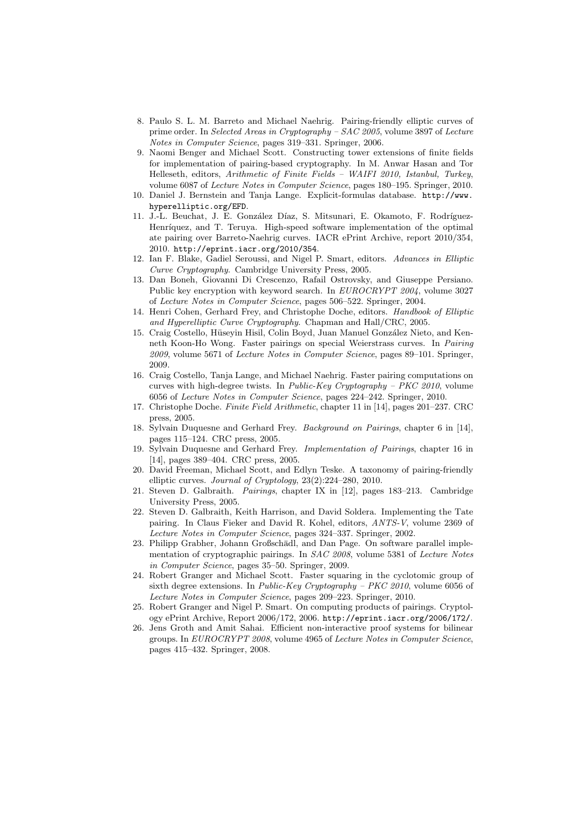- 8. Paulo S. L. M. Barreto and Michael Naehrig. Pairing-friendly elliptic curves of prime order. In Selected Areas in Cryptography – SAC 2005, volume 3897 of Lecture Notes in Computer Science, pages 319–331. Springer, 2006.
- 9. Naomi Benger and Michael Scott. Constructing tower extensions of finite fields for implementation of pairing-based cryptography. In M. Anwar Hasan and Tor Helleseth, editors, Arithmetic of Finite Fields – WAIFI 2010, Istanbul, Turkey, volume 6087 of Lecture Notes in Computer Science, pages 180–195. Springer, 2010.
- 10. Daniel J. Bernstein and Tanja Lange. Explicit-formulas database. http://www. hyperelliptic.org/EFD.
- 11. J.-L. Beuchat, J. E. González Díaz, S. Mitsunari, E. Okamoto, F. Rodríguez-Henríquez, and T. Teruya. High-speed software implementation of the optimal ate pairing over Barreto-Naehrig curves. IACR ePrint Archive, report 2010/354, 2010. http://eprint.iacr.org/2010/354.
- 12. Ian F. Blake, Gadiel Seroussi, and Nigel P. Smart, editors. Advances in Elliptic Curve Cryptography. Cambridge University Press, 2005.
- 13. Dan Boneh, Giovanni Di Crescenzo, Rafail Ostrovsky, and Giuseppe Persiano. Public key encryption with keyword search. In EUROCRYPT 2004, volume 3027 of Lecture Notes in Computer Science, pages 506–522. Springer, 2004.
- 14. Henri Cohen, Gerhard Frey, and Christophe Doche, editors. Handbook of Elliptic and Hyperelliptic Curve Cryptography. Chapman and Hall/CRC, 2005.
- 15. Craig Costello, Hüseyin Hisil, Colin Boyd, Juan Manuel González Nieto, and Kenneth Koon-Ho Wong. Faster pairings on special Weierstrass curves. In Pairing 2009, volume 5671 of Lecture Notes in Computer Science, pages 89–101. Springer, 2009.
- 16. Craig Costello, Tanja Lange, and Michael Naehrig. Faster pairing computations on curves with high-degree twists. In *Public-Key Cryptography – PKC 2010*, volume 6056 of Lecture Notes in Computer Science, pages 224–242. Springer, 2010.
- 17. Christophe Doche. Finite Field Arithmetic, chapter 11 in [14], pages 201–237. CRC press, 2005.
- 18. Sylvain Duquesne and Gerhard Frey. Background on Pairings, chapter 6 in [14], pages 115–124. CRC press, 2005.
- 19. Sylvain Duquesne and Gerhard Frey. Implementation of Pairings, chapter 16 in [14], pages 389–404. CRC press, 2005.
- 20. David Freeman, Michael Scott, and Edlyn Teske. A taxonomy of pairing-friendly elliptic curves. Journal of Cryptology, 23(2):224–280, 2010.
- 21. Steven D. Galbraith. Pairings, chapter IX in [12], pages 183–213. Cambridge University Press, 2005.
- 22. Steven D. Galbraith, Keith Harrison, and David Soldera. Implementing the Tate pairing. In Claus Fieker and David R. Kohel, editors, ANTS-V, volume 2369 of Lecture Notes in Computer Science, pages 324–337. Springer, 2002.
- 23. Philipp Grabher, Johann Großschädl, and Dan Page. On software parallel implementation of cryptographic pairings. In SAC 2008, volume 5381 of Lecture Notes in Computer Science, pages 35–50. Springer, 2009.
- 24. Robert Granger and Michael Scott. Faster squaring in the cyclotomic group of sixth degree extensions. In Public-Key Cryptography – PKC 2010, volume 6056 of Lecture Notes in Computer Science, pages 209–223. Springer, 2010.
- 25. Robert Granger and Nigel P. Smart. On computing products of pairings. Cryptology ePrint Archive, Report 2006/172, 2006. http://eprint.iacr.org/2006/172/.
- 26. Jens Groth and Amit Sahai. Efficient non-interactive proof systems for bilinear groups. In EUROCRYPT 2008, volume 4965 of Lecture Notes in Computer Science, pages 415–432. Springer, 2008.